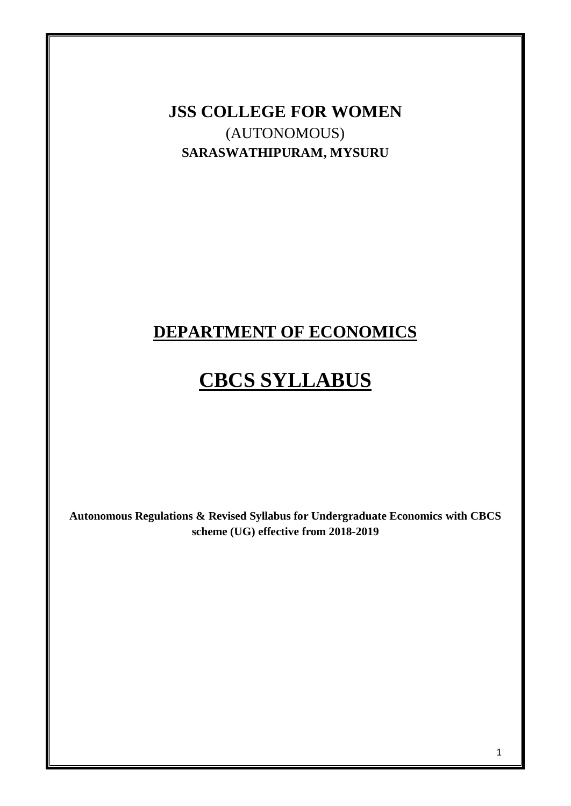**JSS COLLEGE FOR WOMEN** (AUTONOMOUS) **SARASWATHIPURAM, MYSURU**

# **DEPARTMENT OF ECONOMICS**

# **CBCS SYLLABUS**

**Autonomous Regulations & Revised Syllabus for Undergraduate Economics with CBCS scheme (UG) effective from 2018-2019**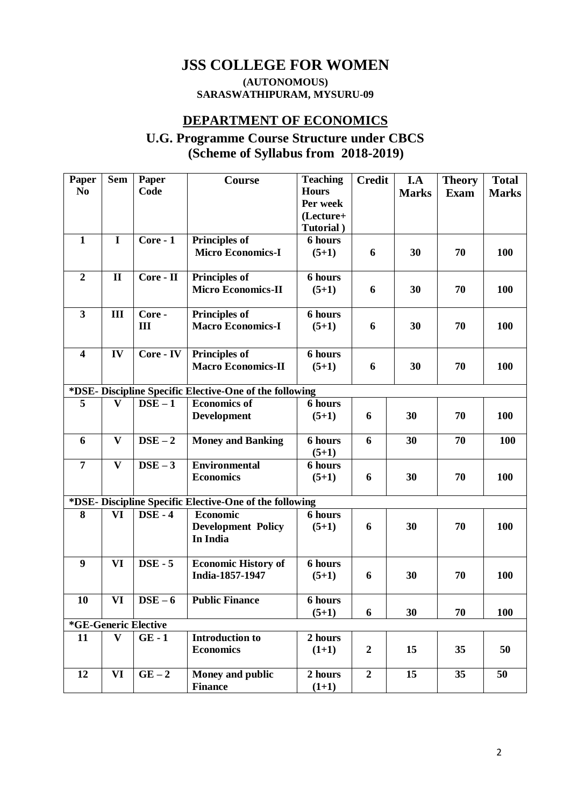# **JSS COLLEGE FOR WOMEN**

#### **(AUTONOMOUS) SARASWATHIPURAM, MYSURU-09**

### **DEPARTMENT OF ECONOMICS**

# **U.G. Programme Course Structure under CBCS (Scheme of Syllabus from 2018-2019)**

| Paper                   | <b>Sem</b>   | Paper                | Course                                                  | <b>Teaching</b> | <b>Credit</b>    | I.A          | <b>Theory</b> | <b>Total</b> |
|-------------------------|--------------|----------------------|---------------------------------------------------------|-----------------|------------------|--------------|---------------|--------------|
| N <sub>0</sub>          |              | Code                 |                                                         | <b>Hours</b>    |                  | <b>Marks</b> | <b>Exam</b>   | <b>Marks</b> |
|                         |              |                      |                                                         | Per week        |                  |              |               |              |
|                         |              |                      |                                                         | (Lecture+       |                  |              |               |              |
|                         |              |                      |                                                         | Tutorial)       |                  |              |               |              |
| $\mathbf{1}$            | $\mathbf I$  | Core - 1             | <b>Principles of</b>                                    | 6 hours         |                  |              |               |              |
|                         |              |                      | <b>Micro Economics-I</b>                                | $(5+1)$         | 6                | 30           | 70            | 100          |
|                         |              |                      |                                                         |                 |                  |              |               |              |
| $\boldsymbol{2}$        | $\mathbf{I}$ | Core - II            | Principles of                                           | 6 hours         |                  |              |               |              |
|                         |              |                      | <b>Micro Economics-II</b>                               | $(5+1)$         | 6                | 30           | 70            | 100          |
|                         |              |                      |                                                         |                 |                  |              |               |              |
| $\overline{\mathbf{3}}$ | III          | Core -               | <b>Principles of</b>                                    | 6 hours         |                  |              |               |              |
|                         |              | III                  | <b>Macro Economics-I</b>                                | $(5+1)$         | 6                | 30           | 70            | 100          |
|                         |              |                      |                                                         |                 |                  |              |               |              |
| $\overline{\mathbf{4}}$ | IV           | Core - IV            | <b>Principles of</b>                                    | 6 hours         |                  |              |               |              |
|                         |              |                      | <b>Macro Economics-II</b>                               | $(5+1)$         | 6                | 30           | 70            | 100          |
|                         |              |                      |                                                         |                 |                  |              |               |              |
|                         |              |                      | *DSE- Discipline Specific Elective-One of the following |                 |                  |              |               |              |
| 5                       | $\mathbf{V}$ | $DSE - 1$            | <b>Economics of</b>                                     | 6 hours         |                  |              |               |              |
|                         |              |                      | <b>Development</b>                                      | $(5+1)$         | 6                | 30           | 70            | 100          |
|                         |              |                      |                                                         |                 |                  |              |               |              |
| 6                       | $\mathbf{V}$ | $DSE - 2$            | <b>Money and Banking</b>                                | 6 hours         | 6                | 30           | 70            | 100          |
|                         |              |                      |                                                         | $(5+1)$         |                  |              |               |              |
| $\overline{7}$          | $\mathbf{V}$ | $DSE-3$              | <b>Environmental</b>                                    | 6 hours         |                  |              |               |              |
|                         |              |                      | <b>Economics</b>                                        | $(5+1)$         | 6                | 30           | 70            | 100          |
|                         |              |                      |                                                         |                 |                  |              |               |              |
|                         |              |                      | *DSE- Discipline Specific Elective-One of the following |                 |                  |              |               |              |
| 8                       | VI           | $DSE - 4$            | <b>Economic</b>                                         | 6 hours         |                  |              |               |              |
|                         |              |                      | <b>Development Policy</b>                               | $(5+1)$         | 6                | 30           | 70            | 100          |
|                         |              |                      | In India                                                |                 |                  |              |               |              |
|                         |              |                      |                                                         |                 |                  |              |               |              |
| 9                       | <b>VI</b>    | $DSE - 5$            | <b>Economic History of</b>                              | 6 hours         |                  |              |               |              |
|                         |              |                      | India-1857-1947                                         | $(5+1)$         | 6                | 30           | 70            | 100          |
|                         |              |                      |                                                         |                 |                  |              |               |              |
| 10                      | VI           | $\bf{DSE}-6$         | <b>Public Finance</b>                                   | 6 hours         |                  |              |               |              |
|                         |              |                      |                                                         | $(5+1)$         | 6                | 30           | 70            | 100          |
|                         |              | *GE-Generic Elective |                                                         |                 |                  |              |               |              |
| 11                      | $\mathbf{V}$ | $GE - 1$             | <b>Introduction to</b>                                  | 2 hours         |                  |              |               |              |
|                         |              |                      | <b>Economics</b>                                        | $(1+1)$         | $\boldsymbol{2}$ | 15           | 35            | 50           |
|                         |              |                      |                                                         |                 |                  |              |               |              |
| 12                      | VI           | $GE-2$               | Money and public                                        | 2 hours         | $\boldsymbol{2}$ | 15           | 35            | 50           |
|                         |              |                      | <b>Finance</b>                                          | $(1+1)$         |                  |              |               |              |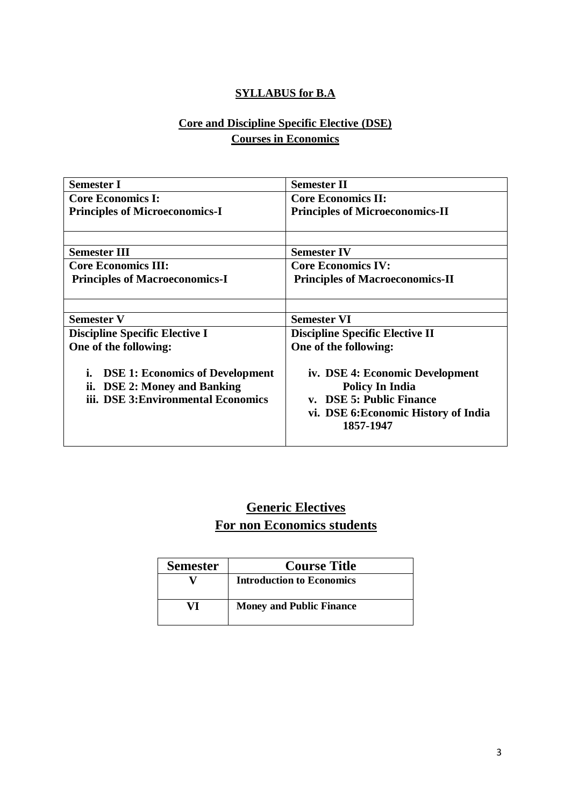## **SYLLABUS for B.A**

# **Core and Discipline Specific Elective (DSE) Courses in Economics**

| <b>Semester I</b>                                                                                                   | <b>Semester II</b>                                                                                                                         |  |
|---------------------------------------------------------------------------------------------------------------------|--------------------------------------------------------------------------------------------------------------------------------------------|--|
| <b>Core Economics I:</b>                                                                                            | <b>Core Economics II:</b>                                                                                                                  |  |
| <b>Principles of Microeconomics-I</b>                                                                               | <b>Principles of Microeconomics-II</b>                                                                                                     |  |
|                                                                                                                     |                                                                                                                                            |  |
| <b>Semester III</b>                                                                                                 | <b>Semester IV</b>                                                                                                                         |  |
| <b>Core Economics III:</b>                                                                                          | <b>Core Economics IV:</b>                                                                                                                  |  |
| <b>Principles of Macroeconomics-I</b>                                                                               | <b>Principles of Macroeconomics-II</b>                                                                                                     |  |
|                                                                                                                     |                                                                                                                                            |  |
| <b>Semester V</b>                                                                                                   | <b>Semester VI</b>                                                                                                                         |  |
| <b>Discipline Specific Elective I</b>                                                                               | <b>Discipline Specific Elective II</b>                                                                                                     |  |
| One of the following:                                                                                               | One of the following:                                                                                                                      |  |
| <b>DSE 1: Economics of Development</b><br>i.<br>ii. DSE 2: Money and Banking<br>iii. DSE 3: Environmental Economics | iv. DSE 4: Economic Development<br><b>Policy In India</b><br>v. DSE 5: Public Finance<br>vi. DSE 6: Economic History of India<br>1857-1947 |  |

# **Generic Electives For non Economics students**

| <b>Semester</b> | <b>Course Title</b>              |
|-----------------|----------------------------------|
|                 | <b>Introduction to Economics</b> |
| VI              | <b>Money and Public Finance</b>  |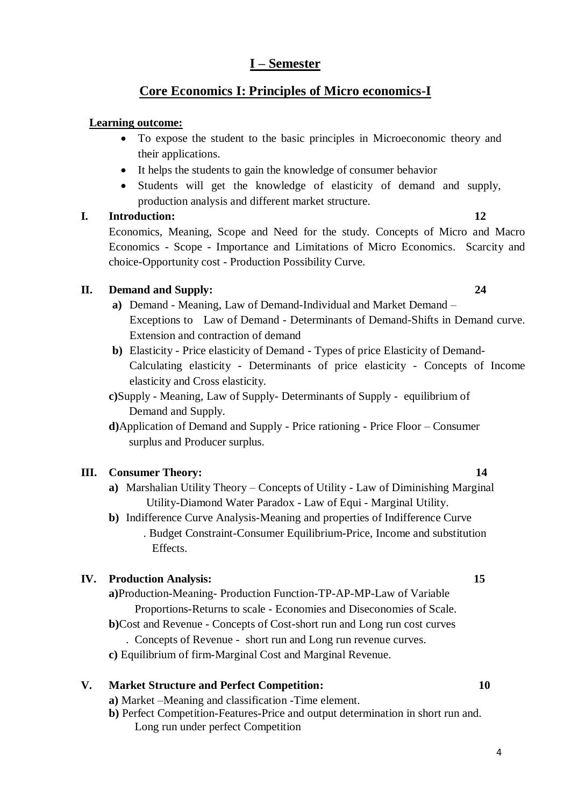## **I – Semester**

## **Core Economics I: Principles of Micro economics-I**

#### **Learning outcome:**

- To expose the student to the basic principles in Microeconomic theory and their applications.
- It helps the students to gain the knowledge of consumer behavior
- Students will get the knowledge of elasticity of demand and supply, production analysis and different market structure.

#### **I. Introduction: 12**

Economics, Meaning, Scope and Need for the study. Concepts of Micro and Macro Economics - Scope - Importance and Limitations of Micro Economics. Scarcity and choice-Opportunity cost - Production Possibility Curve.

#### **II. Demand and Supply: 24**

- **a)** Demand Meaning, Law of Demand-Individual and Market Demand Exceptions to Law of Demand - Determinants of Demand-Shifts in Demand curve. Extension and contraction of demand
- **b)** Elasticity Price elasticity of Demand Types of price Elasticity of Demand-Calculating elasticity - Determinants of price elasticity - Concepts of Income elasticity and Cross elasticity.
- **c)**Supply Meaning, Law of Supply- Determinants of Supply equilibrium of Demand and Supply.
- **d)**Application of Demand and Supply Price rationing Price Floor Consumer surplus and Producer surplus.

#### **III. Consumer Theory: 14**

- **a)** Marshalian Utility Theory Concepts of Utility Law of Diminishing Marginal Utility-Diamond Water Paradox - Law of Equi - Marginal Utility.
- **b)** Indifference Curve Analysis-Meaning and properties of Indifference Curve . Budget Constraint-Consumer Equilibrium-Price, Income and substitution Effects.

#### **IV. Production Analysis: 15**

- **a)**Production-Meaning- Production Function-TP-AP-MP-Law of Variable Proportions-Returns to scale - Economies and Diseconomies of Scale.
- **b)**Cost and Revenue Concepts of Cost-short run and Long run cost curves
	- . Concepts of Revenue short run and Long run revenue curves.
- **c)** Equilibrium of firm-Marginal Cost and Marginal Revenue.

#### **V. Market Structure and Perfect Competition: 10**

- **a)** Market –Meaning and classification -Time element.
- **b)** Perfect Competition-Features-Price and output determination in short run and. Long run under perfect Competition

4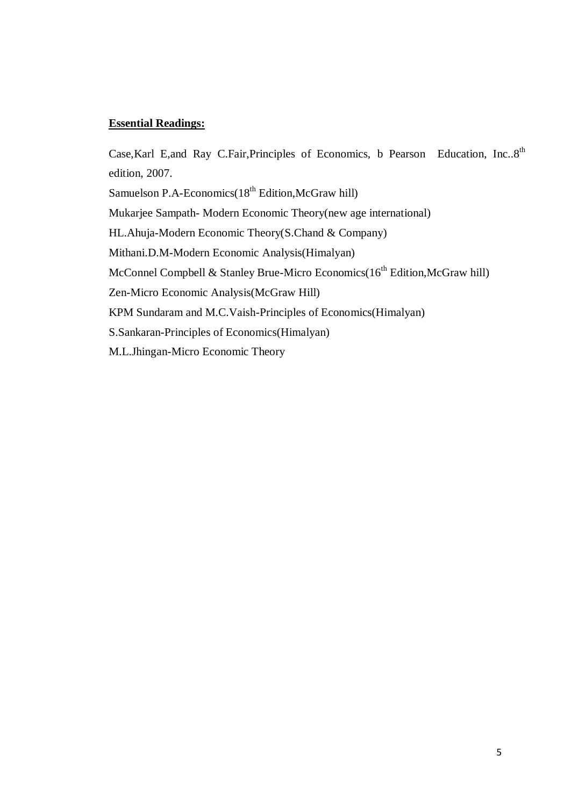Case, Karl E,and Ray C.Fair, Principles of Economics, b Pearson Education, Inc..8<sup>th</sup> edition, 2007.

Samuelson P.A-Economics(18<sup>th</sup> Edition,McGraw hill)

Mukarjee Sampath- Modern Economic Theory(new age international)

HL.Ahuja-Modern Economic Theory(S.Chand & Company)

Mithani.D.M-Modern Economic Analysis(Himalyan)

McConnel Compbell & Stanley Brue-Micro Economics( $16<sup>th</sup>$  Edition, McGraw hill)

Zen-Micro Economic Analysis(McGraw Hill)

KPM Sundaram and M.C.Vaish-Principles of Economics(Himalyan)

S.Sankaran-Principles of Economics(Himalyan)

M.L.Jhingan-Micro Economic Theory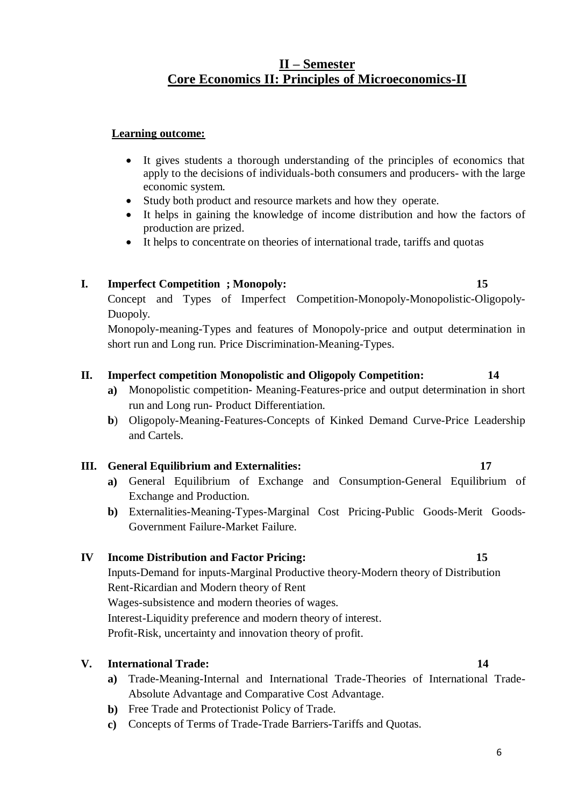## **II – Semester Core Economics II: Principles of Microeconomics-II**

#### **Learning outcome:**

- It gives students a thorough understanding of the principles of economics that apply to the decisions of individuals-both consumers and producers- with the large economic system.
- Study both product and resource markets and how they operate.
- It helps in gaining the knowledge of income distribution and how the factors of production are prized.
- It helps to concentrate on theories of international trade, tariffs and quotas

#### **I. Imperfect Competition ; Monopoly: 15**

Concept and Types of Imperfect Competition-Monopoly-Monopolistic-Oligopoly-Duopoly.

Monopoly-meaning-Types and features of Monopoly-price and output determination in short run and Long run. Price Discrimination-Meaning-Types.

#### **II. Imperfect competition Monopolistic and Oligopoly Competition: 14**

- **a)** Monopolistic competition- Meaning-Features-price and output determination in short run and Long run- Product Differentiation.
- **b**) Oligopoly-Meaning-Features-Concepts of Kinked Demand Curve-Price Leadership and Cartels.

#### **III. General Equilibrium and Externalities: 17**

- **a)** General Equilibrium of Exchange and Consumption-General Equilibrium of Exchange and Production.
- **b)** Externalities-Meaning-Types-Marginal Cost Pricing-Public Goods-Merit Goods-Government Failure-Market Failure.

#### **IV Income Distribution and Factor Pricing: 15**

Inputs-Demand for inputs-Marginal Productive theory-Modern theory of Distribution Rent-Ricardian and Modern theory of Rent Wages-subsistence and modern theories of wages.

Interest-Liquidity preference and modern theory of interest.

Profit-Risk, uncertainty and innovation theory of profit.

#### **V. International Trade: 14**

- **a)** Trade-Meaning-Internal and International Trade-Theories of International Trade-Absolute Advantage and Comparative Cost Advantage.
- **b)** Free Trade and Protectionist Policy of Trade.
- **c)** Concepts of Terms of Trade-Trade Barriers-Tariffs and Quotas.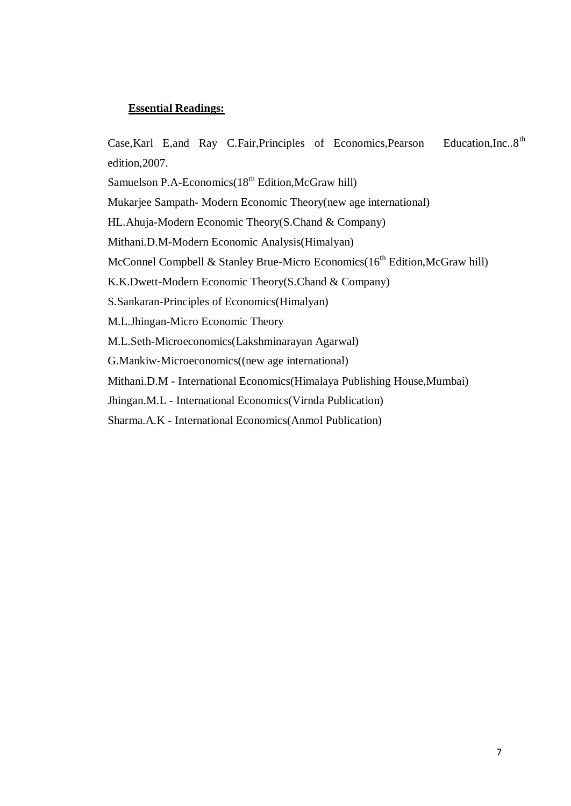Case, Karl E, and Ray C.Fair, Principles of Economics, Pearson Education, Inc..8<sup>th</sup> edition,2007.

Samuelson P.A-Economics(18<sup>th</sup> Edition,McGraw hill)

Mukarjee Sampath- Modern Economic Theory(new age international)

HL.Ahuja-Modern Economic Theory(S.Chand & Company)

Mithani.D.M-Modern Economic Analysis(Himalyan)

McConnel Compbell & Stanley Brue-Micro Economics $(16<sup>th</sup> Edition, McGraw hill)$ 

K.K.Dwett-Modern Economic Theory(S.Chand & Company)

S.Sankaran-Principles of Economics(Himalyan)

M.L.Jhingan-Micro Economic Theory

M.L.Seth-Microeconomics(Lakshminarayan Agarwal)

G.Mankiw-Microeconomics((new age international)

Mithani.D.M - International Economics(Himalaya Publishing House,Mumbai)

Jhingan.M.L - International Economics(Virnda Publication)

Sharma.A.K - International Economics(Anmol Publication)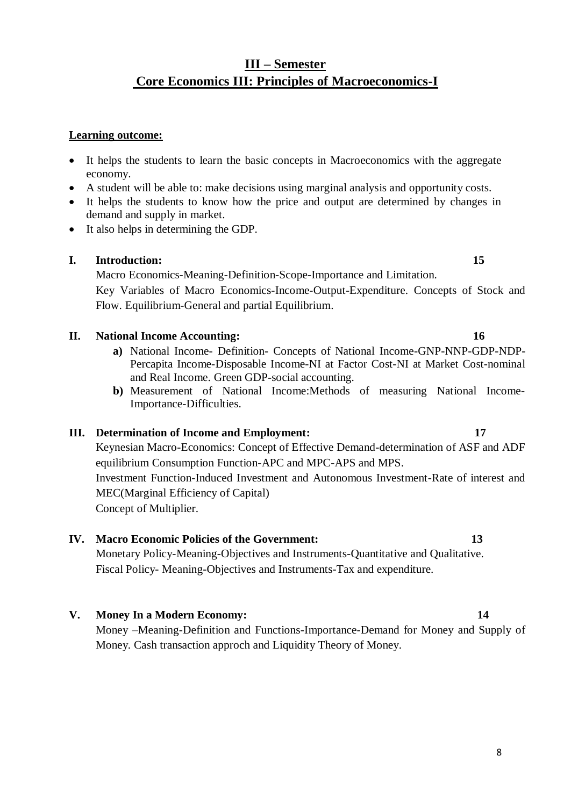# **III – Semester Core Economics III: Principles of Macroeconomics-I**

#### **Learning outcome:**

- It helps the students to learn the basic concepts in Macroeconomics with the aggregate economy.
- A student will be able to: make decisions using marginal analysis and opportunity costs.
- It helps the students to know how the price and output are determined by changes in demand and supply in market.
- It also helps in determining the GDP.

#### **I. Introduction: 15**

Macro Economics-Meaning-Definition-Scope-Importance and Limitation. Key Variables of Macro Economics-Income-Output-Expenditure. Concepts of Stock and Flow. Equilibrium-General and partial Equilibrium.

#### **II. National Income Accounting: 16**

- **a)** National Income- Definition- Concepts of National Income-GNP-NNP-GDP-NDP-Percapita Income-Disposable Income-NI at Factor Cost-NI at Market Cost-nominal and Real Income. Green GDP-social accounting.
- **b)** Measurement of National Income:Methods of measuring National Income-Importance-Difficulties.

#### **III. Determination of Income and Employment: 17**

Keynesian Macro-Economics: Concept of Effective Demand-determination of ASF and ADF equilibrium Consumption Function-APC and MPC-APS and MPS. Investment Function-Induced Investment and Autonomous Investment-Rate of interest and MEC(Marginal Efficiency of Capital) Concept of Multiplier.

#### **IV. Macro Economic Policies of the Government: 13**

Monetary Policy-Meaning-Objectives and Instruments-Quantitative and Qualitative. Fiscal Policy- Meaning-Objectives and Instruments-Tax and expenditure.

**V. Money In a Modern Economy: 14**

Money –Meaning-Definition and Functions-Importance-Demand for Money and Supply of Money. Cash transaction approch and Liquidity Theory of Money.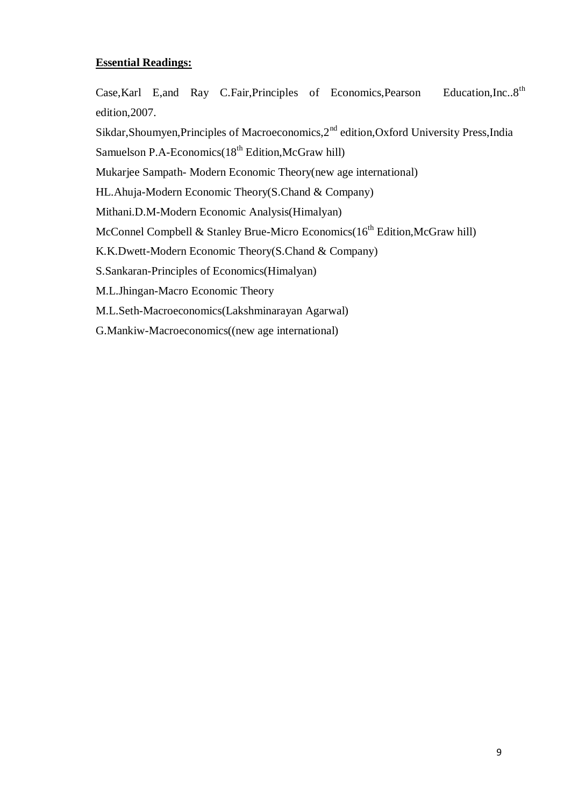Case, Karl E, and Ray C.Fair, Principles of Economics, Pearson Education, Inc..8<sup>th</sup> edition,2007.

Sikdar, Shoumyen, Principles of Macroeconomics, 2<sup>nd</sup> edition, Oxford University Press, India

Samuelson P.A-Economics $(18<sup>th</sup> Edition.McGraw hill)$ 

Mukarjee Sampath- Modern Economic Theory(new age international)

HL.Ahuja-Modern Economic Theory(S.Chand & Company)

Mithani.D.M-Modern Economic Analysis(Himalyan)

McConnel Compbell & Stanley Brue-Micro Economics( $16^{th}$  Edition, McGraw hill)

K.K.Dwett-Modern Economic Theory(S.Chand & Company)

S.Sankaran-Principles of Economics(Himalyan)

M.L.Jhingan-Macro Economic Theory

M.L.Seth-Macroeconomics(Lakshminarayan Agarwal)

G.Mankiw-Macroeconomics((new age international)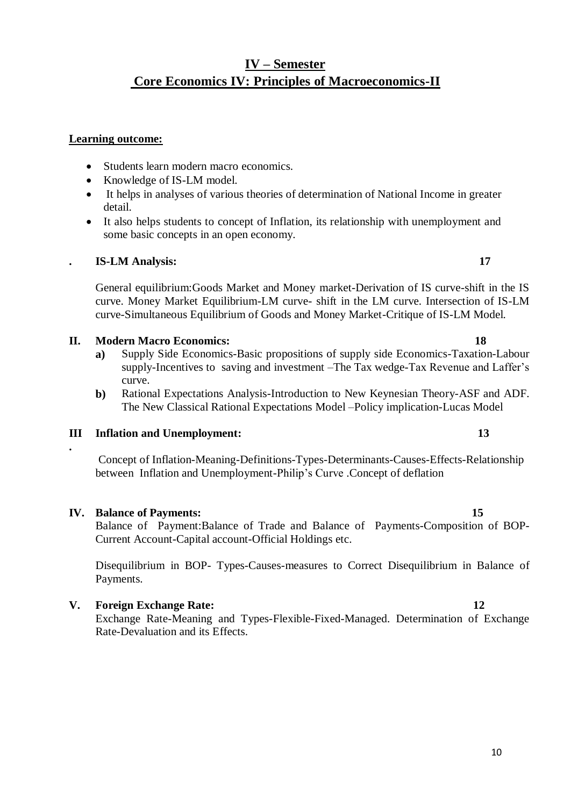# **IV – Semester Core Economics IV: Principles of Macroeconomics-II**

#### **Learning outcome:**

- Students learn modern macro economics.
- Knowledge of IS-LM model.
- It helps in analyses of various theories of determination of National Income in greater detail.
- It also helps students to concept of Inflation, its relationship with unemployment and some basic concepts in an open economy.

#### **. IS-LM Analysis: 17**

General equilibrium:Goods Market and Money market-Derivation of IS curve-shift in the IS curve. Money Market Equilibrium-LM curve- shift in the LM curve. Intersection of IS-LM curve-Simultaneous Equilibrium of Goods and Money Market-Critique of IS-LM Model.

#### **II. Modern Macro Economics: 18**

- **a)** Supply Side Economics-Basic propositions of supply side Economics-Taxation-Labour supply-Incentives to saving and investment –The Tax wedge-Tax Revenue and Laffer's curve.
- **b)** Rational Expectations Analysis-Introduction to New Keynesian Theory-ASF and ADF. The New Classical Rational Expectations Model –Policy implication-Lucas Model

#### **III Inflation and Unemployment: 13**

Concept of Inflation-Meaning-Definitions-Types-Determinants-Causes-Effects-Relationship between Inflation and Unemployment-Philip's Curve .Concept of deflation

#### **IV. Balance of Payments: 15**

**.**

Balance of Payment:Balance of Trade and Balance of Payments-Composition of BOP-Current Account-Capital account-Official Holdings etc.

Disequilibrium in BOP- Types-Causes-measures to Correct Disequilibrium in Balance of Payments.

#### **V. Foreign Exchange Rate: 12**

Exchange Rate-Meaning and Types-Flexible-Fixed-Managed. Determination of Exchange Rate-Devaluation and its Effects.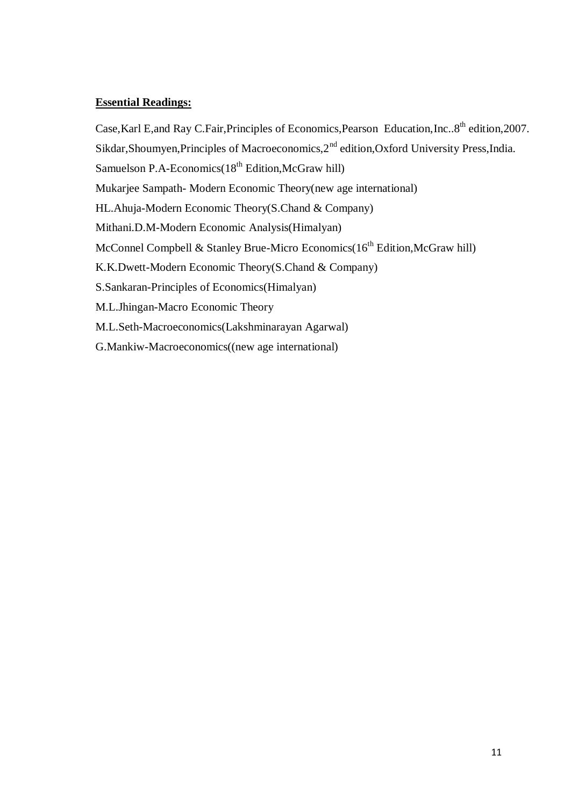Case, Karl E,and Ray C.Fair, Principles of Economics, Pearson Education, Inc..8<sup>th</sup> edition, 2007. Sikdar, Shoumyen, Principles of Macroeconomics, 2<sup>nd</sup> edition, Oxford University Press, India. Samuelson P.A-Economics $(18<sup>th</sup> Edition, McGraw hill)$ Mukarjee Sampath- Modern Economic Theory(new age international) HL.Ahuja-Modern Economic Theory(S.Chand & Company) Mithani.D.M-Modern Economic Analysis(Himalyan) McConnel Compbell & Stanley Brue-Micro Economics(16<sup>th</sup> Edition, McGraw hill) K.K.Dwett-Modern Economic Theory(S.Chand & Company) S.Sankaran-Principles of Economics(Himalyan) M.L.Jhingan-Macro Economic Theory M.L.Seth-Macroeconomics(Lakshminarayan Agarwal) G.Mankiw-Macroeconomics((new age international)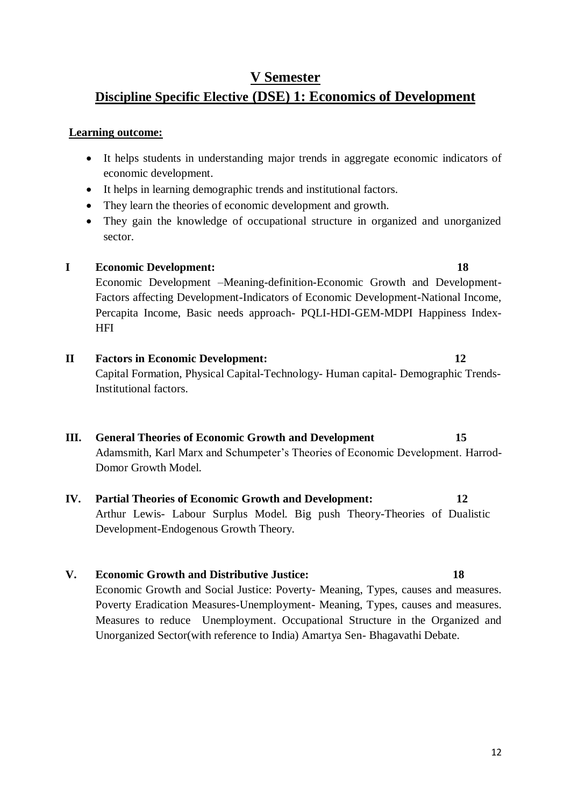# **V Semester Discipline Specific Elective (DSE) 1: Economics of Development**

#### **Learning outcome:**

- It helps students in understanding major trends in aggregate economic indicators of economic development.
- It helps in learning demographic trends and institutional factors.
- They learn the theories of economic development and growth.
- They gain the knowledge of occupational structure in organized and unorganized sector.

#### **I Economic Development: 18**

Economic Development –Meaning-definition-Economic Growth and Development-Factors affecting Development-Indicators of Economic Development-National Income, Percapita Income, Basic needs approach- PQLI-HDI-GEM-MDPI Happiness Index-**HFI** 

# **II Factors in Economic Development: 12**

Capital Formation, Physical Capital-Technology- Human capital- Demographic Trends-Institutional factors.

# **III. General Theories of Economic Growth and Development 15**

Adamsmith, Karl Marx and Schumpeter's Theories of Economic Development. Harrod-Domor Growth Model.

### **IV. Partial Theories of Economic Growth and Development: 12**

Arthur Lewis- Labour Surplus Model. Big push Theory-Theories of Dualistic Development-Endogenous Growth Theory.

#### **V. Economic Growth and Distributive Justice: 18**

Economic Growth and Social Justice: Poverty- Meaning, Types, causes and measures. Poverty Eradication Measures-Unemployment- Meaning, Types, causes and measures. Measures to reduce Unemployment. Occupational Structure in the Organized and Unorganized Sector(with reference to India) Amartya Sen- Bhagavathi Debate.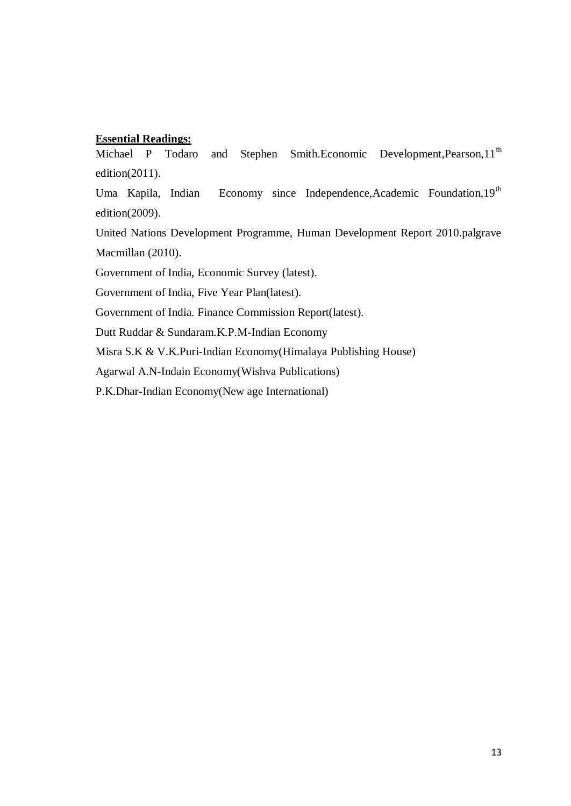Michael P Todaro and Stephen Smith.Economic Development, Pearson, 11<sup>th</sup> edition(2011).

Uma Kapila, Indian Economy since Independence, Academic Foundation, 19<sup>th</sup> edition(2009).

United Nations Development Programme, Human Development Report 2010.palgrave Macmillan (2010).

Government of India, Economic Survey (latest).

Government of India, Five Year Plan(latest).

Government of India. Finance Commission Report(latest).

Dutt Ruddar & Sundaram.K.P.M-Indian Economy

Misra S.K & V.K.Puri-Indian Economy(Himalaya Publishing House)

Agarwal A.N-Indain Economy(Wishva Publications)

P.K.Dhar-Indian Economy(New age International)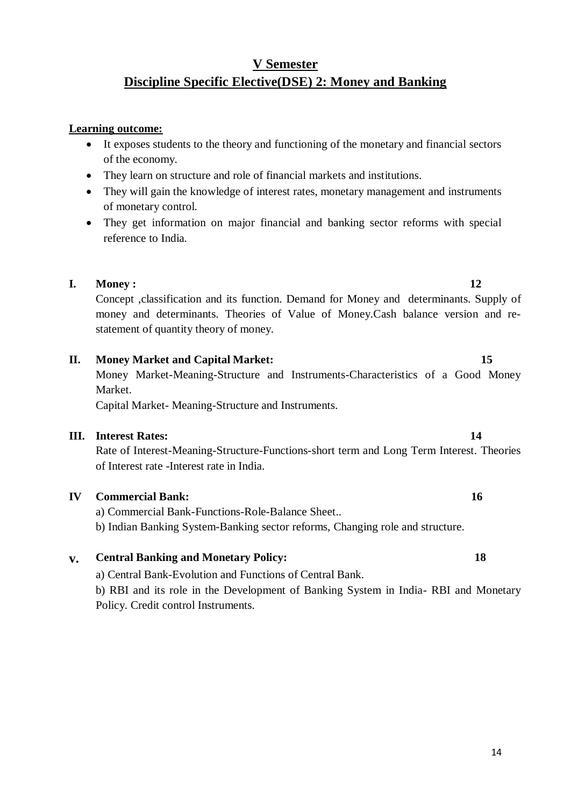# **V Semester Discipline Specific Elective(DSE) 2: Money and Banking**

#### **Learning outcome:**

- It exposes students to the theory and functioning of the monetary and financial sectors of the economy.
- They learn on structure and role of financial markets and institutions.
- They will gain the knowledge of interest rates, monetary management and instruments of monetary control.
- They get information on major financial and banking sector reforms with special reference to India.

#### **I. Money : 12**

Concept ,classification and its function. Demand for Money and determinants. Supply of money and determinants. Theories of Value of Money.Cash balance version and restatement of quantity theory of money.

#### **II. Money Market and Capital Market: 15**

Money Market-Meaning-Structure and Instruments-Characteristics of a Good Money Market.

Capital Market- Meaning-Structure and Instruments.

#### **III. Interest Rates: 14**

Rate of Interest-Meaning-Structure-Functions-short term and Long Term Interest. Theories of Interest rate -Interest rate in India.

#### **IV Commercial Bank: 16**

a) Commercial Bank-Functions-Role-Balance Sheet..

b) Indian Banking System-Banking sector reforms, Changing role and structure.

#### **v. Central Banking and Monetary Policy: 18**

a) Central Bank-Evolution and Functions of Central Bank.

b) RBI and its role in the Development of Banking System in India- RBI and Monetary Policy. Credit control Instruments.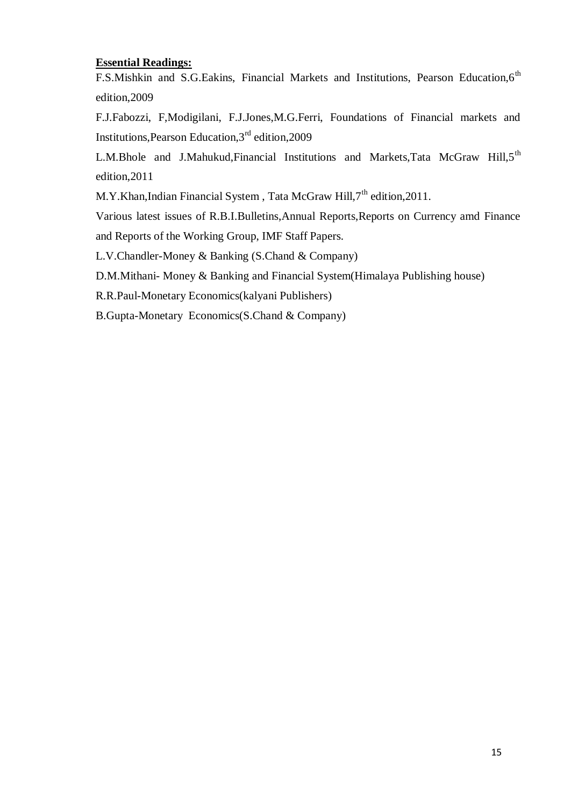F.S.Mishkin and S.G.Eakins, Financial Markets and Institutions, Pearson Education, 6<sup>th</sup> edition,2009

F.J.Fabozzi, F,Modigilani, F.J.Jones,M.G.Ferri, Foundations of Financial markets and Institutions,Pearson Education,3rd edition,2009

L.M.Bhole and J.Mahukud,Financial Institutions and Markets,Tata McGraw Hill,5<sup>th</sup> edition,2011

M.Y.Khan,Indian Financial System, Tata McGraw Hill,7<sup>th</sup> edition,2011.

Various latest issues of R.B.I.Bulletins,Annual Reports,Reports on Currency amd Finance and Reports of the Working Group, IMF Staff Papers.

L.V.Chandler-Money & Banking (S.Chand & Company)

D.M.Mithani- Money & Banking and Financial System(Himalaya Publishing house)

R.R.Paul-Monetary Economics(kalyani Publishers)

B.Gupta-Monetary Economics(S.Chand & Company)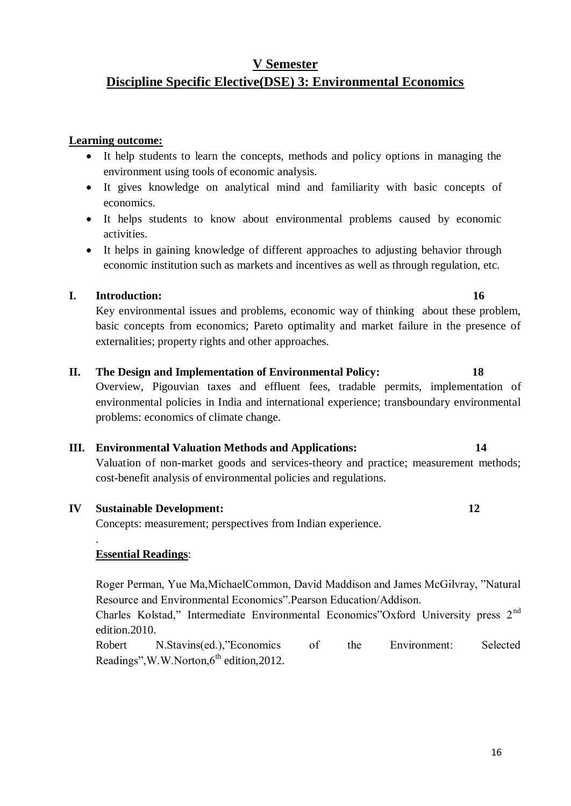Overview, Pigouvian taxes and effluent fees, tradable permits, implementation of environmental policies in India and international experience; transboundary environmental

# basic concepts from economics; Pareto optimality and market failure in the presence of

# **II. The Design and Implementation of Environmental Policy: 18**

**III. Environmental Valuation Methods and Applications: 14**  Valuation of non-market goods and services-theory and practice; measurement methods; cost-benefit analysis of environmental policies and regulations.

# **IV Sustainable Development: 12**

Concepts: measurement; perspectives from Indian experience.

externalities; property rights and other approaches.

problems: economics of climate change.

# **Essential Readings**:

.

Roger Perman, Yue Ma,MichaelCommon, David Maddison and James McGilvray, "Natural Resource and Environmental Economics".Pearson Education/Addison.

Charles Kolstad," Intermediate Environmental Economics"Oxford University press 2<sup>nd</sup> edition.2010.

Robert N.Stavins(ed.),"Economics of the Environment: Selected Readings", W.W.Norton, $6<sup>th</sup>$  edition, 2012.

# **V Semester Discipline Specific Elective(DSE) 3: Environmental Economics**

## **Learning outcome:**

- It help students to learn the concepts, methods and policy options in managing the environment using tools of economic analysis.
- It gives knowledge on analytical mind and familiarity with basic concepts of economics.
- It helps students to know about environmental problems caused by economic activities.
- It helps in gaining knowledge of different approaches to adjusting behavior through economic institution such as markets and incentives as well as through regulation, etc.

Key environmental issues and problems, economic way of thinking about these problem,

## **I. Introduction: 16**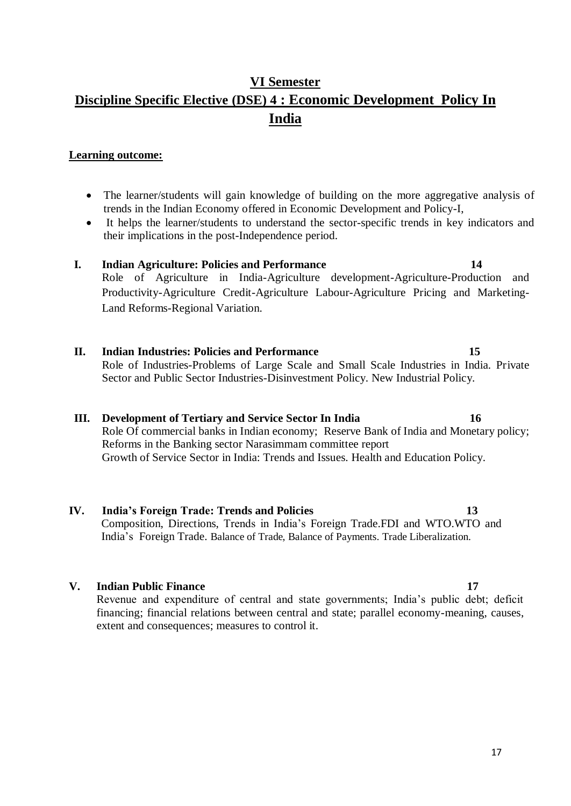# **VI Semester Discipline Specific Elective (DSE) 4 : Economic Development Policy In India**

#### **Learning outcome:**

- The learner/students will gain knowledge of building on the more aggregative analysis of trends in the Indian Economy offered in Economic Development and Policy-I,
- It helps the learner/students to understand the sector-specific trends in key indicators and their implications in the post-Independence period.

## **I. Indian Agriculture: Policies and Performance 14** Role of Agriculture in India-Agriculture development-Agriculture-Production and Productivity-Agriculture Credit-Agriculture Labour-Agriculture Pricing and Marketing-Land Reforms-Regional Variation.

**II. Indian Industries: Policies and Performance 15** Role of Industries-Problems of Large Scale and Small Scale Industries in India. Private Sector and Public Sector Industries-Disinvestment Policy. New Industrial Policy.

#### **III. Development of Tertiary and Service Sector In India 16** Role Of commercial banks in Indian economy; Reserve Bank of India and Monetary policy; Reforms in the Banking sector Narasimmam committee report Growth of Service Sector in India: Trends and Issues. Health and Education Policy.

**IV. India's Foreign Trade: Trends and Policies 13** Composition, Directions, Trends in India's Foreign Trade.FDI and WTO.WTO and India's Foreign Trade. Balance of Trade, Balance of Payments. Trade Liberalization.

#### **V.** Indian Public Finance 17

Revenue and expenditure of central and state governments; India's public debt; deficit financing; financial relations between central and state; parallel economy-meaning, causes, extent and consequences; measures to control it.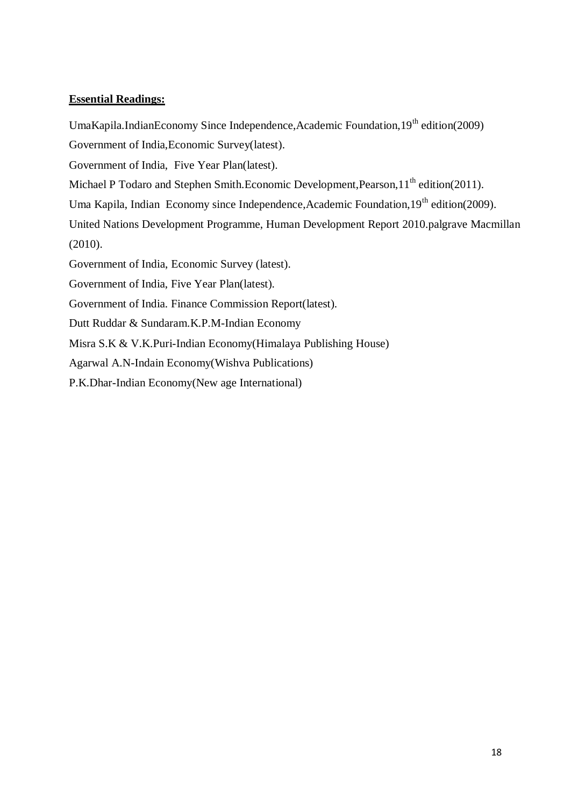UmaKapila.IndianEconomy Since Independence,Academic Foundation, $19<sup>th</sup>$  edition(2009)

Government of India,Economic Survey(latest).

Government of India, Five Year Plan(latest).

Michael P Todaro and Stephen Smith.Economic Development, Pearson, 11<sup>th</sup> edition(2011).

Uma Kapila, Indian Economy since Independence, Academic Foundation, 19<sup>th</sup> edition(2009).

United Nations Development Programme, Human Development Report 2010.palgrave Macmillan (2010).

Government of India, Economic Survey (latest).

Government of India, Five Year Plan(latest).

Government of India. Finance Commission Report(latest).

Dutt Ruddar & Sundaram.K.P.M-Indian Economy

Misra S.K & V.K.Puri-Indian Economy(Himalaya Publishing House)

Agarwal A.N-Indain Economy(Wishva Publications)

P.K.Dhar-Indian Economy(New age International)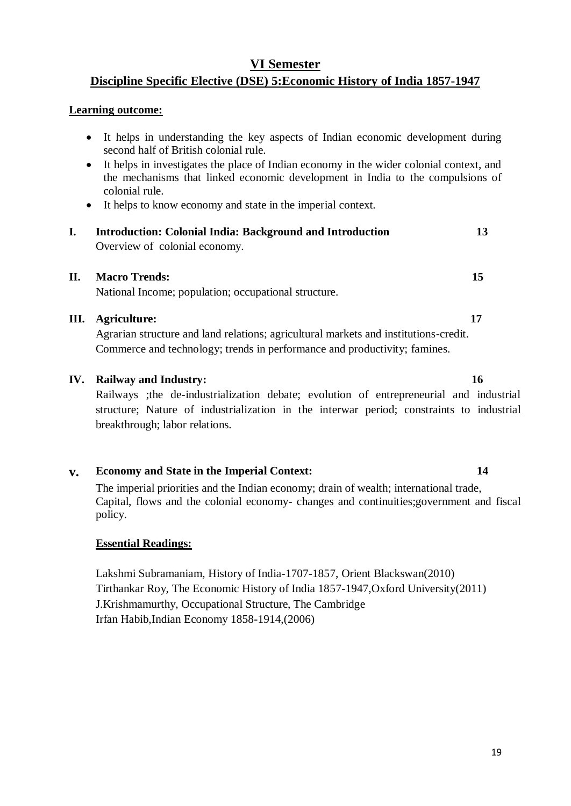### **VI Semester**

### **Discipline Specific Elective (DSE) 5:Economic History of India 1857-1947**

#### **Learning outcome:**

- It helps in understanding the key aspects of Indian economic development during second half of British colonial rule.
- It helps in investigates the place of Indian economy in the wider colonial context, and the mechanisms that linked economic development in India to the compulsions of colonial rule.
- It helps to know economy and state in the imperial context.
- **I. Introduction: Colonial India: Background and Introduction 13**  Overview of colonial economy.

#### **II. Macro Trends: 15**

National Income; population; occupational structure.

#### **III. Agriculture: 17**

Agrarian structure and land relations; agricultural markets and institutions-credit. Commerce and technology; trends in performance and productivity; famines.

#### **IV. Railway and Industry: 16**

Railways ;the de-industrialization debate; evolution of entrepreneurial and industrial structure; Nature of industrialization in the interwar period; constraints to industrial breakthrough; labor relations.

#### **v. Economy and State in the Imperial Context: 14**

The imperial priorities and the Indian economy; drain of wealth; international trade, Capital, flows and the colonial economy- changes and continuities;government and fiscal policy.

### **Essential Readings:**

Lakshmi Subramaniam, History of India-1707-1857, Orient Blackswan(2010) Tirthankar Roy, The Economic History of India 1857-1947,Oxford University(2011) J.Krishmamurthy, Occupational Structure, The Cambridge Irfan Habib,Indian Economy 1858-1914,(2006)

# 19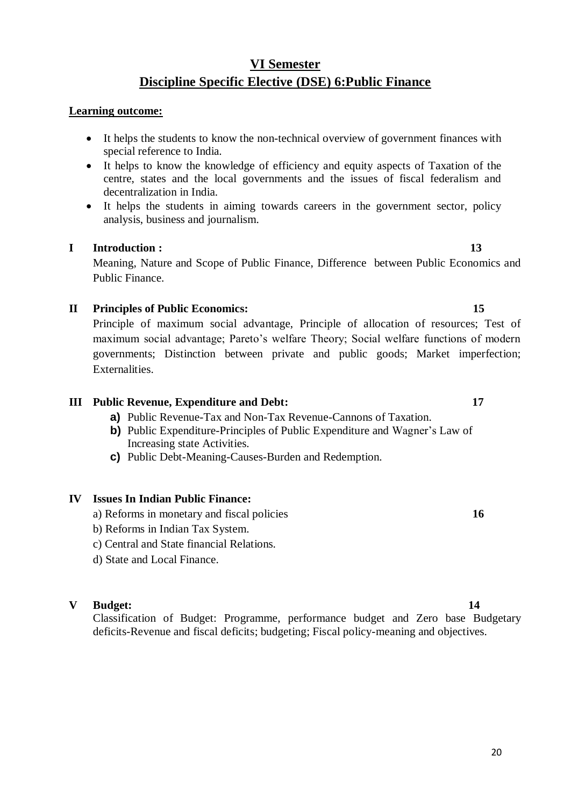# **VI Semester Discipline Specific Elective (DSE) 6:Public Finance**

#### **Learning outcome:**

- It helps the students to know the non-technical overview of government finances with special reference to India.
- It helps to know the knowledge of efficiency and equity aspects of Taxation of the centre, states and the local governments and the issues of fiscal federalism and decentralization in India.
- It helps the students in aiming towards careers in the government sector, policy analysis, business and journalism.

#### **I Introduction : 13**

Meaning, Nature and Scope of Public Finance, Difference between Public Economics and Public Finance.

#### **II Principles of Public Economics: 15**

Principle of maximum social advantage, Principle of allocation of resources; Test of maximum social advantage; Pareto's welfare Theory; Social welfare functions of modern governments; Distinction between private and public goods; Market imperfection; Externalities.

#### **III Public Revenue, Expenditure and Debt: 17**

- **a)** Public Revenue-Tax and Non-Tax Revenue-Cannons of Taxation.
- **b)** Public Expenditure-Principles of Public Expenditure and Wagner's Law of Increasing state Activities.
- **c)** Public Debt-Meaning-Causes-Burden and Redemption.

#### **IV Issues In Indian Public Finance:**

- a) Reforms in monetary and fiscal policies **16**
- b) Reforms in Indian Tax System.
- c) Central and State financial Relations.
- d) State and Local Finance.

#### **V Budget: 14**

Classification of Budget: Programme, performance budget and Zero base Budgetary deficits-Revenue and fiscal deficits; budgeting; Fiscal policy-meaning and objectives.

20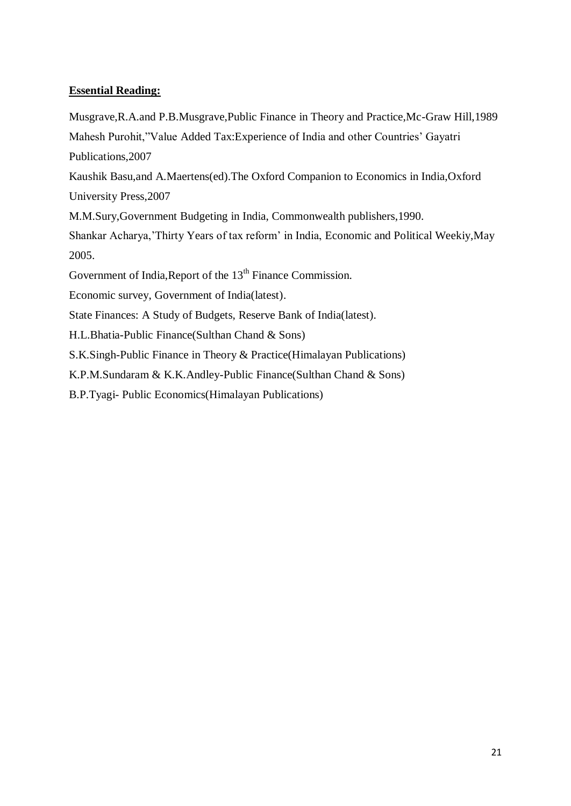Musgrave,R.A.and P.B.Musgrave,Public Finance in Theory and Practice,Mc-Graw Hill,1989 Mahesh Purohit,"Value Added Tax:Experience of India and other Countries' Gayatri Publications,2007

Kaushik Basu,and A.Maertens(ed).The Oxford Companion to Economics in India,Oxford University Press,2007

M.M.Sury,Government Budgeting in India, Commonwealth publishers,1990.

Shankar Acharya,'Thirty Years of tax reform' in India, Economic and Political Weekiy,May 2005.

Government of India, Report of the 13<sup>th</sup> Finance Commission.

Economic survey, Government of India(latest).

State Finances: A Study of Budgets, Reserve Bank of India(latest).

H.L.Bhatia-Public Finance(Sulthan Chand & Sons)

S.K.Singh-Public Finance in Theory & Practice(Himalayan Publications)

K.P.M.Sundaram & K.K.Andley-Public Finance(Sulthan Chand & Sons)

B.P.Tyagi- Public Economics(Himalayan Publications)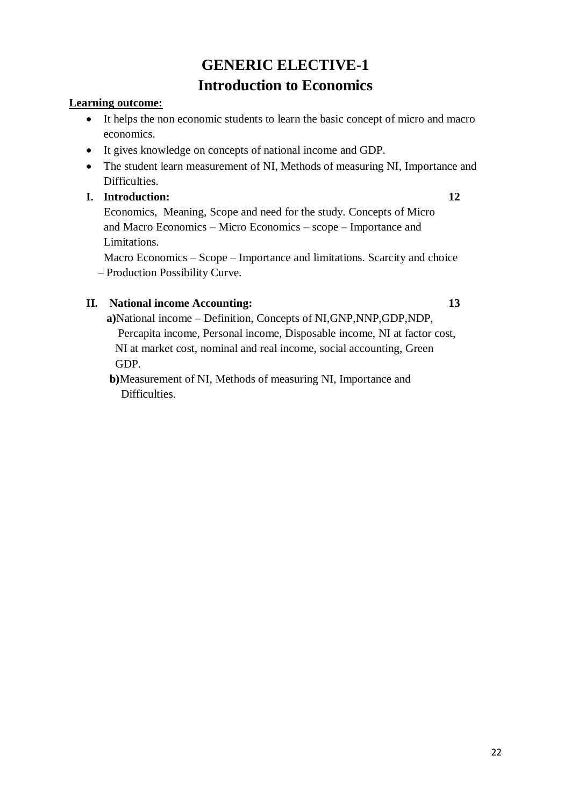# **GENERIC ELECTIVE-1 Introduction to Economics**

#### **Learning outcome:**

- It helps the non economic students to learn the basic concept of micro and macro economics.
- It gives knowledge on concepts of national income and GDP.
- The student learn measurement of NI, Methods of measuring NI, Importance and Difficulties.

#### **I. Introduction: 12**

 Economics, Meaning, Scope and need for the study. Concepts of Micro and Macro Economics – Micro Economics – scope – Importance and Limitations.

 Macro Economics – Scope – Importance and limitations. Scarcity and choice – Production Possibility Curve.

### **II. National income Accounting: 13**

 **a)**National income – Definition, Concepts of NI,GNP,NNP,GDP,NDP, Percapita income, Personal income, Disposable income, NI at factor cost, NI at market cost, nominal and real income, social accounting, Green GDP.

 **b)**Measurement of NI, Methods of measuring NI, Importance and Difficulties.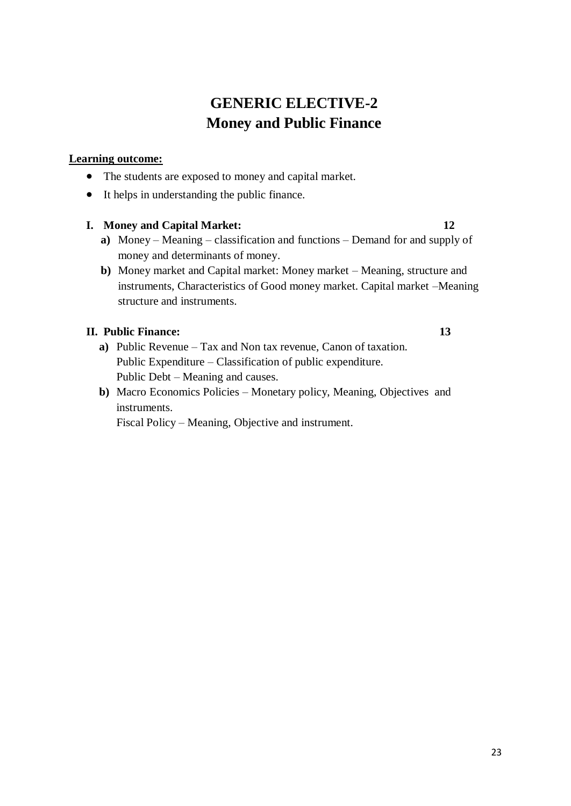# **GENERIC ELECTIVE-2 Money and Public Finance**

#### **Learning outcome:**

- The students are exposed to money and capital market.
- It helps in understanding the public finance.

#### **I. Money and Capital Market: 12**

- **a)** Money Meaning classification and functions Demand for and supply of money and determinants of money.
- **b)** Money market and Capital market: Money market Meaning, structure and instruments, Characteristics of Good money market. Capital market –Meaning structure and instruments.

#### **II. Public Finance: 13**

- **a)** Public Revenue Tax and Non tax revenue, Canon of taxation. Public Expenditure – Classification of public expenditure. Public Debt – Meaning and causes.
- **b)** Macro Economics Policies Monetary policy, Meaning, Objectives and instruments.

Fiscal Policy – Meaning, Objective and instrument.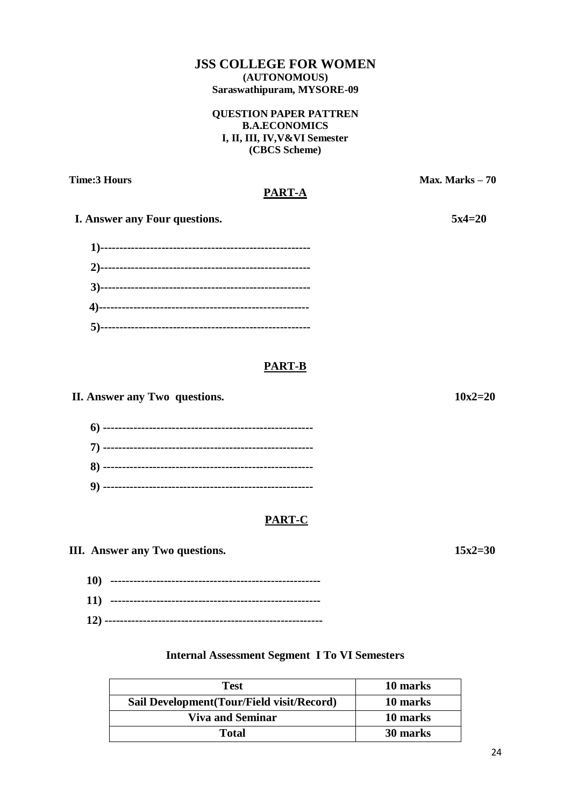#### **JSS COLLEGE FOR WOMEN (AUTONOMOUS) Saraswathipuram, MYSORE-09**

#### **QUESTION PAPER PATTREN B.A.ECONOMICS I, II, III, IV,V&VI Semester (CBCS Scheme)**

**Time:3 Hours** Max. Marks – 70

#### **PART-A**

 **I. Answer any Four questions.** 5x4=20

### **PART-B**

**II.** Answer any Two questions. 10x2=20

### **PART-C**

**III.** Answer any Two questions. 15x2=30

 **10) ------------------------------------------------------- 11) ------------------------------------------------------- 12) ---------------------------------------------------------**

### **Internal Assessment Segment I To VI Semesters**

| Test                                       | 10 marks |
|--------------------------------------------|----------|
| Sail Development (Tour/Field visit/Record) | 10 marks |
| <b>Viva and Seminar</b>                    | 10 marks |
| Total                                      | 30 marks |

24